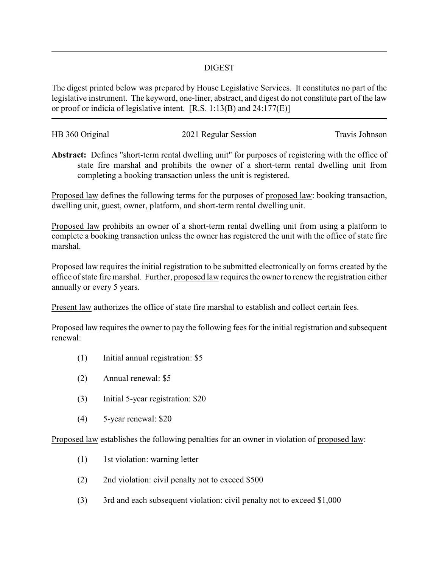## DIGEST

The digest printed below was prepared by House Legislative Services. It constitutes no part of the legislative instrument. The keyword, one-liner, abstract, and digest do not constitute part of the law or proof or indicia of legislative intent. [R.S. 1:13(B) and 24:177(E)]

| HB 360 Original | 2021 Regular Session | Travis Johnson |
|-----------------|----------------------|----------------|
|                 |                      |                |

**Abstract:** Defines "short-term rental dwelling unit" for purposes of registering with the office of state fire marshal and prohibits the owner of a short-term rental dwelling unit from completing a booking transaction unless the unit is registered.

Proposed law defines the following terms for the purposes of proposed law: booking transaction, dwelling unit, guest, owner, platform, and short-term rental dwelling unit.

Proposed law prohibits an owner of a short-term rental dwelling unit from using a platform to complete a booking transaction unless the owner has registered the unit with the office of state fire marshal.

Proposed law requires the initial registration to be submitted electronically on forms created by the office of state fire marshal. Further, proposed law requires the owner to renew the registration either annually or every 5 years.

Present law authorizes the office of state fire marshal to establish and collect certain fees.

Proposed law requires the owner to pay the following fees for the initial registration and subsequent renewal:

- (1) Initial annual registration: \$5
- (2) Annual renewal: \$5
- (3) Initial 5-year registration: \$20
- (4) 5-year renewal: \$20

Proposed law establishes the following penalties for an owner in violation of proposed law:

- (1) 1st violation: warning letter
- (2) 2nd violation: civil penalty not to exceed \$500
- (3) 3rd and each subsequent violation: civil penalty not to exceed \$1,000